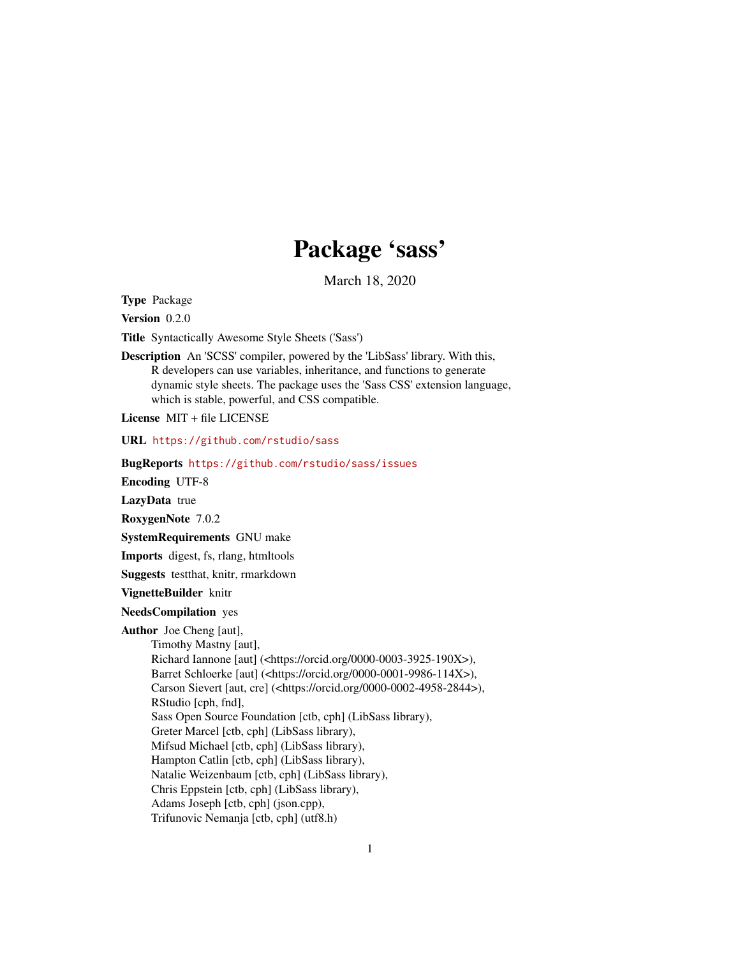## Package 'sass'

March 18, 2020

<span id="page-0-0"></span>Type Package

Version 0.2.0

Title Syntactically Awesome Style Sheets ('Sass')

Description An 'SCSS' compiler, powered by the 'LibSass' library. With this, R developers can use variables, inheritance, and functions to generate dynamic style sheets. The package uses the 'Sass CSS' extension language, which is stable, powerful, and CSS compatible.

License MIT + file LICENSE

URL <https://github.com/rstudio/sass>

BugReports <https://github.com/rstudio/sass/issues>

Encoding UTF-8

LazyData true

RoxygenNote 7.0.2

SystemRequirements GNU make

Imports digest, fs, rlang, htmltools

Suggests testthat, knitr, rmarkdown

VignetteBuilder knitr

NeedsCompilation yes

Author Joe Cheng [aut],

Timothy Mastny [aut],

Richard Iannone [aut] (<https://orcid.org/0000-0003-3925-190X>), Barret Schloerke [aut] (<https://orcid.org/0000-0001-9986-114X>), Carson Sievert [aut, cre] (<https://orcid.org/0000-0002-4958-2844>),

RStudio [cph, fnd],

Sass Open Source Foundation [ctb, cph] (LibSass library),

Greter Marcel [ctb, cph] (LibSass library),

Mifsud Michael [ctb, cph] (LibSass library),

Hampton Catlin [ctb, cph] (LibSass library),

Natalie Weizenbaum [ctb, cph] (LibSass library),

Chris Eppstein [ctb, cph] (LibSass library),

Adams Joseph [ctb, cph] (json.cpp),

Trifunovic Nemanja [ctb, cph] (utf8.h)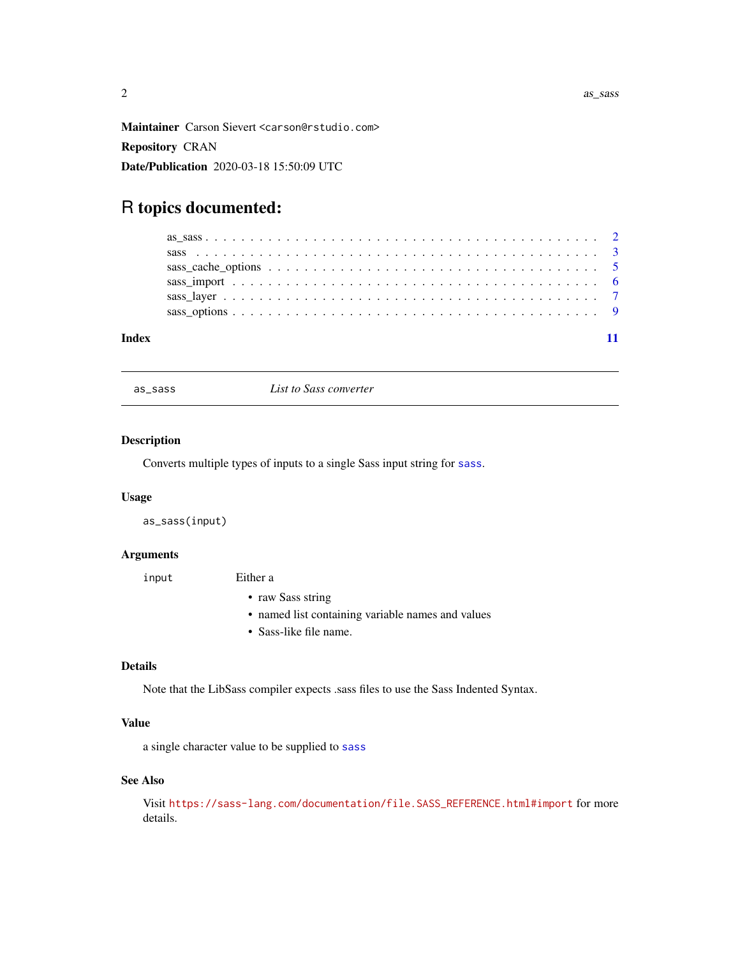<span id="page-1-0"></span>Maintainer Carson Sievert <carson@rstudio.com> Repository CRAN Date/Publication 2020-03-18 15:50:09 UTC

### R topics documented:

| Index |  |
|-------|--|

<span id="page-1-1"></span>as\_sass *List to Sass converter*

#### Description

Converts multiple types of inputs to a single Sass input string for [sass](#page-2-1).

#### Usage

as\_sass(input)

#### Arguments

input Either a

- raw Sass string
- named list containing variable names and values
- Sass-like file name.

#### Details

Note that the LibSass compiler expects .sass files to use the Sass Indented Syntax.

#### Value

a single character value to be supplied to [sass](#page-2-1)

#### See Also

Visit [https://sass-lang.com/documentation/file.SASS\\_REFERENCE.html#import](https://sass-lang.com/documentation/file.SASS_REFERENCE.html#import) for more details.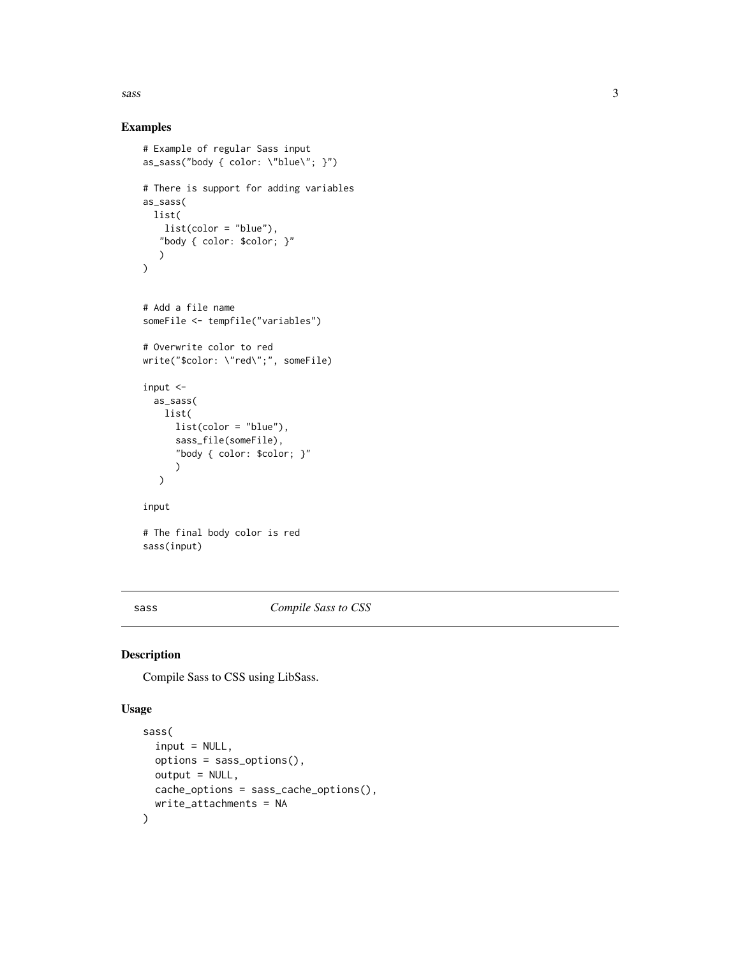<span id="page-2-0"></span> $s$ ass  $\overline{\phantom{a}}$  3

#### Examples

```
# Example of regular Sass input
as_sass("body { color: \"blue\"; }")
# There is support for adding variables
as_sass(
 list(
   list(color = "blue"),
   "body { color: $color; }"
   )
)
# Add a file name
someFile <- tempfile("variables")
# Overwrite color to red
write("$color: \"red\";", someFile)
input <-
  as_sass(
   list(
      list(color = "blue"),
      sass_file(someFile),
      "body { color: $color; }"
      )
  \lambdainput
# The final body color is red
sass(input)
```
<span id="page-2-1"></span>sass *Compile Sass to CSS*

#### Description

Compile Sass to CSS using LibSass.

#### Usage

```
sass(
  input = NULL,options = sass_options(),
 output = NULL,cache_options = sass_cache_options(),
 write_attachments = NA
)
```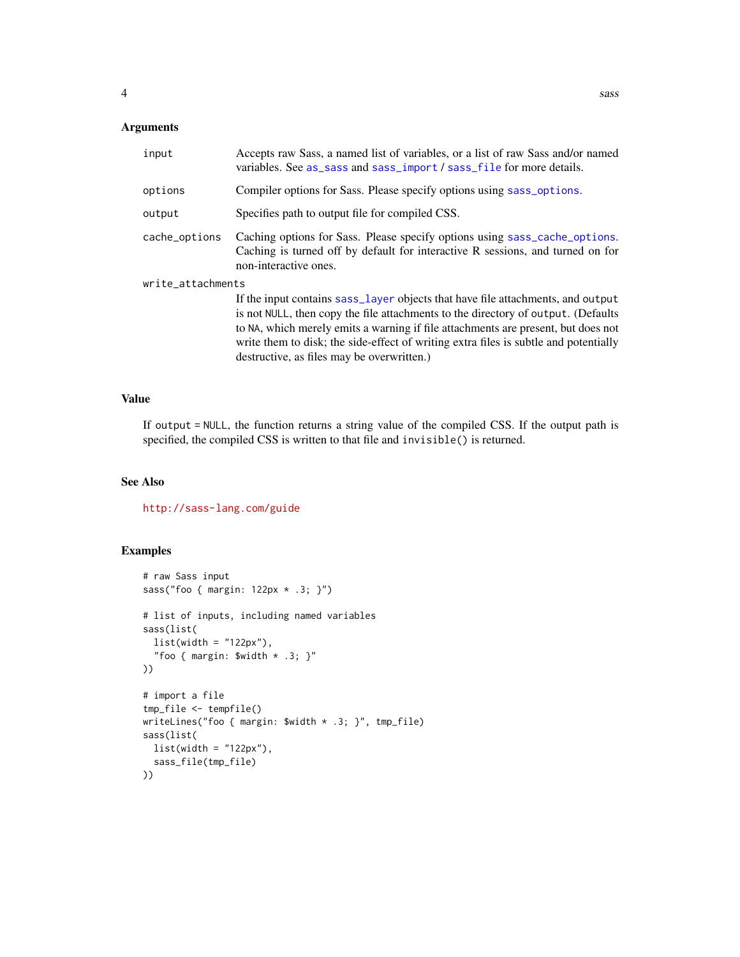#### <span id="page-3-0"></span>Arguments

| input             | Accepts raw Sass, a named list of variables, or a list of raw Sass and/or named<br>variables. See as_sass and sass_import / sass_file for more details.                                                                                                                                                                                           |
|-------------------|---------------------------------------------------------------------------------------------------------------------------------------------------------------------------------------------------------------------------------------------------------------------------------------------------------------------------------------------------|
| options           | Compiler options for Sass. Please specify options using sass_options.                                                                                                                                                                                                                                                                             |
| output            | Specifies path to output file for compiled CSS.                                                                                                                                                                                                                                                                                                   |
| cache_options     | Caching options for Sass. Please specify options using sass_cache_options.<br>Caching is turned off by default for interactive R sessions, and turned on for<br>non-interactive ones.                                                                                                                                                             |
| write_attachments |                                                                                                                                                                                                                                                                                                                                                   |
|                   | If the input contains sass_layer objects that have file attachments, and output<br>is not NULL, then copy the file attachments to the directory of output. (Defaults<br>to NA, which merely emits a warning if file attachments are present, but does not<br>write them to disk; the side-effect of writing extra files is subtle and potentially |

#### Value

If output = NULL, the function returns a string value of the compiled CSS. If the output path is specified, the compiled CSS is written to that file and invisible() is returned.

destructive, as files may be overwritten.)

#### See Also

<http://sass-lang.com/guide>

#### Examples

```
# raw Sass input
sass("foo { margin: 122px * .3; }")
# list of inputs, including named variables
sass(list(
  list(width = "122px"),
  "foo { margin: $width * .3; }"
))
# import a file
tmp_file <- tempfile()
writeLines("foo { margin: $width * .3; }", tmp_file)
sass(list(
 list(width = "122px"),
  sass_file(tmp_file)
))
```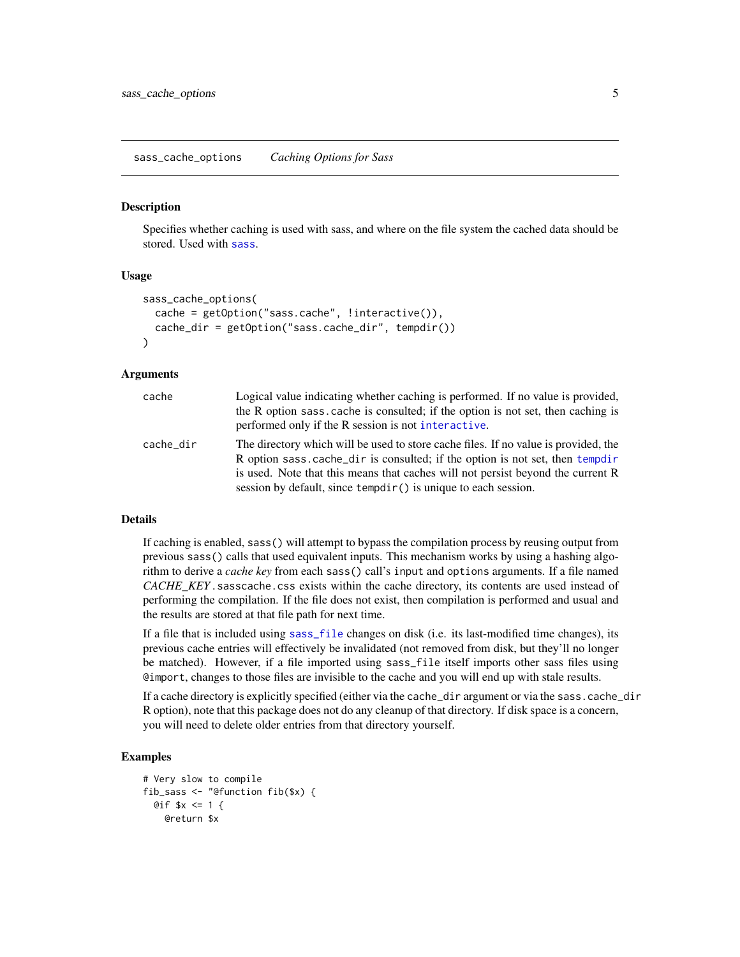#### <span id="page-4-1"></span><span id="page-4-0"></span>Description

Specifies whether caching is used with sass, and where on the file system the cached data should be stored. Used with [sass](#page-2-1).

#### Usage

```
sass_cache_options(
  cache = getOption("sass.cache", !interactive()),
  cache_dir = getOption("sass.cache_dir", tempdir())
)
```
#### Arguments

| cache     | Logical value indicating whether caching is performed. If no value is provided,<br>the R option sass cache is consulted; if the option is not set, then caching is<br>performed only if the R session is not interactive.                                                                                                 |
|-----------|---------------------------------------------------------------------------------------------------------------------------------------------------------------------------------------------------------------------------------------------------------------------------------------------------------------------------|
| cache dir | The directory which will be used to store cache files. If no value is provided, the<br>R option sass.cache_dir is consulted; if the option is not set, then tempdir<br>is used. Note that this means that caches will not persist beyond the current R<br>session by default, since tempotic() is unique to each session. |

#### Details

If caching is enabled, sass() will attempt to bypass the compilation process by reusing output from previous sass() calls that used equivalent inputs. This mechanism works by using a hashing algorithm to derive a *cache key* from each sass() call's input and options arguments. If a file named *CACHE\_KEY*.sasscache.css exists within the cache directory, its contents are used instead of performing the compilation. If the file does not exist, then compilation is performed and usual and the results are stored at that file path for next time.

If a file that is included using [sass\\_file](#page-5-2) changes on disk (i.e. its last-modified time changes), its previous cache entries will effectively be invalidated (not removed from disk, but they'll no longer be matched). However, if a file imported using sass\_file itself imports other sass files using @import, changes to those files are invisible to the cache and you will end up with stale results.

If a cache directory is explicitly specified (either via the cache\_dir argument or via the sass.cache\_dir R option), note that this package does not do any cleanup of that directory. If disk space is a concern, you will need to delete older entries from that directory yourself.

#### Examples

```
# Very slow to compile
fib_sass <- "@function fib($x) {
 Qif $x <= 1 {
   @return $x
```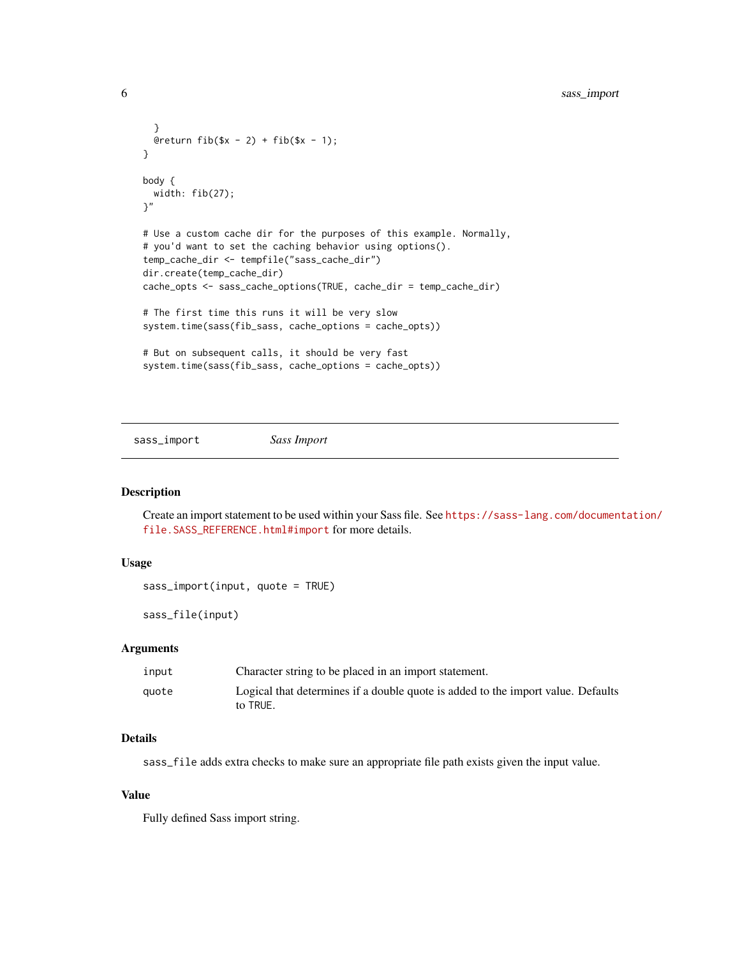```
}
  @return fib(\$x - 2) + fib(\$x - 1);}
body {
  width: fib(27);
}"
# Use a custom cache dir for the purposes of this example. Normally,
# you'd want to set the caching behavior using options().
temp_cache_dir <- tempfile("sass_cache_dir")
dir.create(temp_cache_dir)
cache_opts <- sass_cache_options(TRUE, cache_dir = temp_cache_dir)
# The first time this runs it will be very slow
system.time(sass(fib_sass, cache_options = cache_opts))
# But on subsequent calls, it should be very fast
system.time(sass(fib_sass, cache_options = cache_opts))
```
<span id="page-5-1"></span>sass\_import *Sass Import*

#### <span id="page-5-2"></span>Description

Create an import statement to be used within your Sass file. See [https://sass-lang.com/documen](https://sass-lang.com/documentation/file.SASS_REFERENCE.html#import)tation/ [file.SASS\\_REFERENCE.html#import](https://sass-lang.com/documentation/file.SASS_REFERENCE.html#import) for more details.

#### Usage

```
sass_import(input, quote = TRUE)
```
sass\_file(input)

#### Arguments

| input | Character string to be placed in an import statement.                                        |
|-------|----------------------------------------------------------------------------------------------|
| auote | Logical that determines if a double quote is added to the import value. Defaults<br>to TRUE. |

#### Details

sass\_file adds extra checks to make sure an appropriate file path exists given the input value.

#### Value

Fully defined Sass import string.

<span id="page-5-0"></span>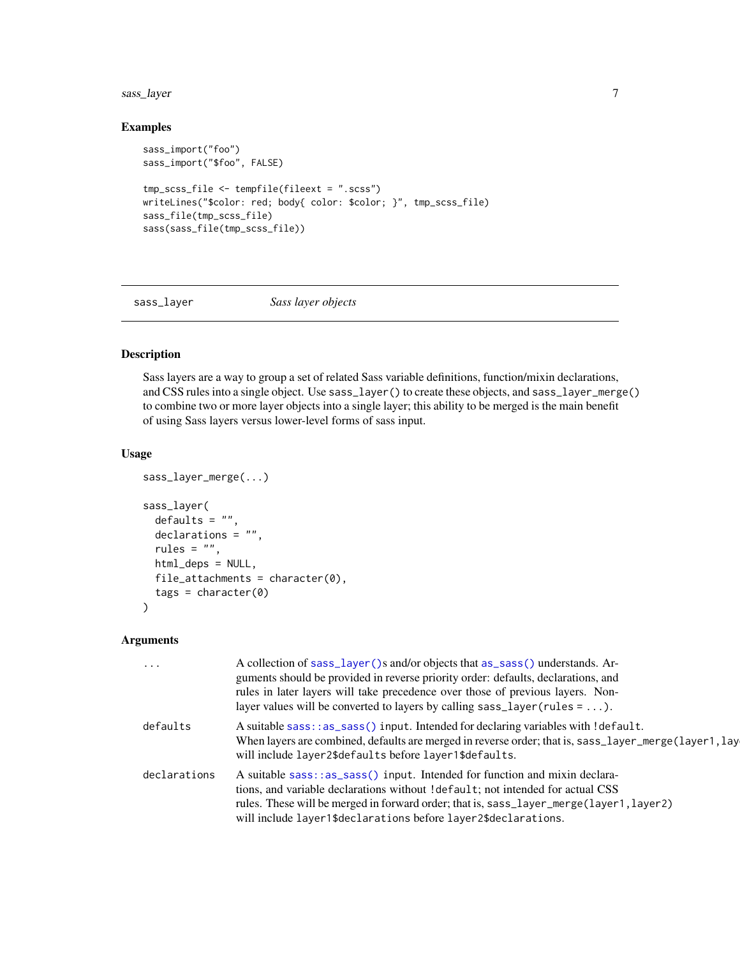<span id="page-6-0"></span>sass\_layer 7

#### Examples

```
sass_import("foo")
sass_import("$foo", FALSE)
tmp_scss_file <- tempfile(fileext = ".scss")
writeLines("$color: red; body{ color: $color; }", tmp_scss_file)
sass_file(tmp_scss_file)
sass(sass_file(tmp_scss_file))
```
<span id="page-6-1"></span>sass\_layer *Sass layer objects*

#### Description

Sass layers are a way to group a set of related Sass variable definitions, function/mixin declarations, and CSS rules into a single object. Use sass\_layer() to create these objects, and sass\_layer\_merge() to combine two or more layer objects into a single layer; this ability to be merged is the main benefit of using Sass layers versus lower-level forms of sass input.

#### Usage

```
sass_layer_merge(...)
sass_layer(
 defaults = ",
 declarations = "",
  rules = ",
 html_deps = NULL,
 file_attachments = character(0),
  tags = character(0)\lambda
```
#### Arguments

| $\cdots$     | A collection of sass_layer()s and/or objects that as_sass() understands. Ar-<br>guments should be provided in reverse priority order: defaults, declarations, and<br>rules in later layers will take precedence over those of previous layers. Non-<br>layer values will be converted to layers by calling $sass\_layer(rules = ).$ |
|--------------|-------------------------------------------------------------------------------------------------------------------------------------------------------------------------------------------------------------------------------------------------------------------------------------------------------------------------------------|
| defaults     | A suitable sass::as_sass() input. Intended for declaring variables with !default.<br>When layers are combined, defaults are merged in reverse order; that is, sass_layer_merge(layer1, lay<br>will include layer2\$defaults before layer1\$defaults.                                                                                |
| declarations | A suitable sass::as_sass() input. Intended for function and mixin declara-<br>tions, and variable declarations without ! default; not intended for actual CSS<br>rules. These will be merged in forward order; that is, sass_layer_merge(layer1, layer2)<br>will include layer1\$declarations before layer2\$declarations.          |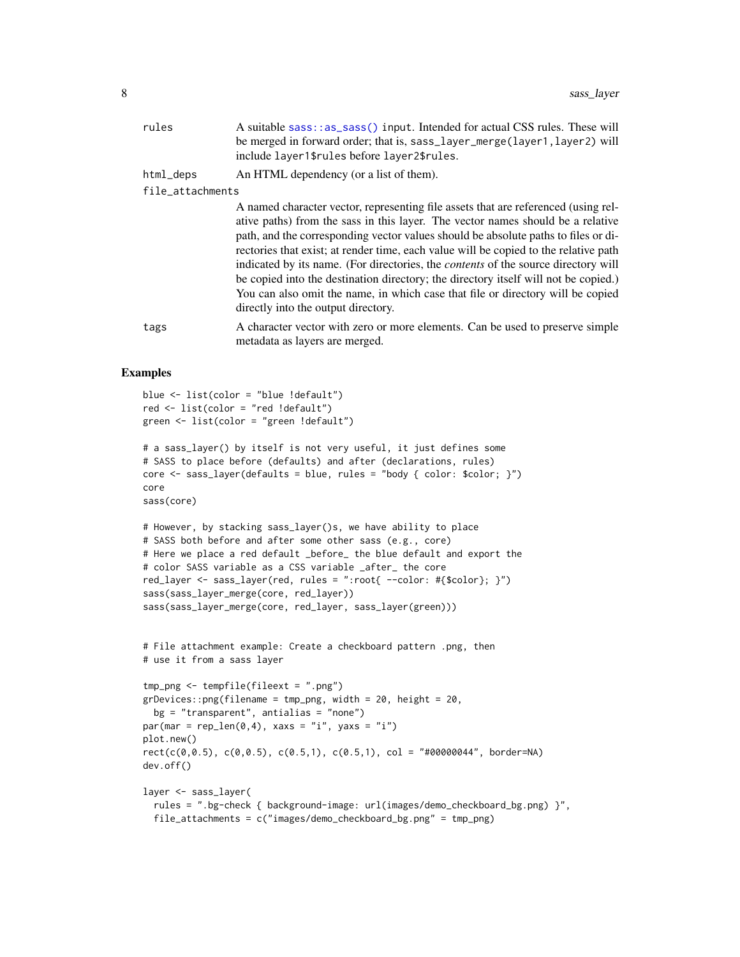<span id="page-7-0"></span>

| rules            | A suitable sass: : as_sass() input. Intended for actual CSS rules. These will<br>be merged in forward order; that is, sass_layer_merge(layer1, layer2) will<br>include layer1\$rules before layer2\$rules.                                                                                                                                                                                                                                                                                                                                                                                                                                                        |
|------------------|-------------------------------------------------------------------------------------------------------------------------------------------------------------------------------------------------------------------------------------------------------------------------------------------------------------------------------------------------------------------------------------------------------------------------------------------------------------------------------------------------------------------------------------------------------------------------------------------------------------------------------------------------------------------|
| html_deps        | An HTML dependency (or a list of them).                                                                                                                                                                                                                                                                                                                                                                                                                                                                                                                                                                                                                           |
| file_attachments |                                                                                                                                                                                                                                                                                                                                                                                                                                                                                                                                                                                                                                                                   |
|                  | A named character vector, representing file assets that are referenced (using rel-<br>ative paths) from the sass in this layer. The vector names should be a relative<br>path, and the corresponding vector values should be absolute paths to files or di-<br>rectories that exist; at render time, each value will be copied to the relative path<br>indicated by its name. (For directories, the <i>contents</i> of the source directory will<br>be copied into the destination directory; the directory itself will not be copied.)<br>You can also omit the name, in which case that file or directory will be copied<br>directly into the output directory. |
| tags             | A character vector with zero or more elements. Can be used to preserve simple                                                                                                                                                                                                                                                                                                                                                                                                                                                                                                                                                                                     |

#### Examples

```
blue <- list(color = "blue !default")
red <- list(color = "red !default")
green <- list(color = "green !default")
# a sass_layer() by itself is not very useful, it just defines some
# SASS to place before (defaults) and after (declarations, rules)
core <- sass_layer(defaults = blue, rules = "body { color: $color; }")
core
sass(core)
# However, by stacking sass_layer()s, we have ability to place
# SASS both before and after some other sass (e.g., core)
# Here we place a red default _before_ the blue default and export the
# color SASS variable as a CSS variable _after_ the core
red_layer <- sass_layer(red, rules = ":root{ --color: #{$color}; }")
sass(sass_layer_merge(core, red_layer))
sass(sass_layer_merge(core, red_layer, sass_layer(green)))
# File attachment example: Create a checkboard pattern .png, then
# use it from a sass layer
tmp_png <- tempfile(fileext = ".png")
grDevices::png(filename = tmp_png, width = 20, height = 20,
  bg = "transport", antialias = "none")par(max = rep\_len(0, 4), xaxs = "i", yaxs = "i")plot.new()
rect(c(\theta, \theta.5), c(\theta, \theta.5), c(\theta.5, 1), c(\theta.5, 1), col = "#00000044", border=NA)dev.off()
layer <- sass_layer(
  rules = ".bg-check { background-image: url(images/demo_checkboard_bg.png) }",
  file_attachments = c("images/demo_checkboard_bg.png" = tmp_png)
```
metadata as layers are merged.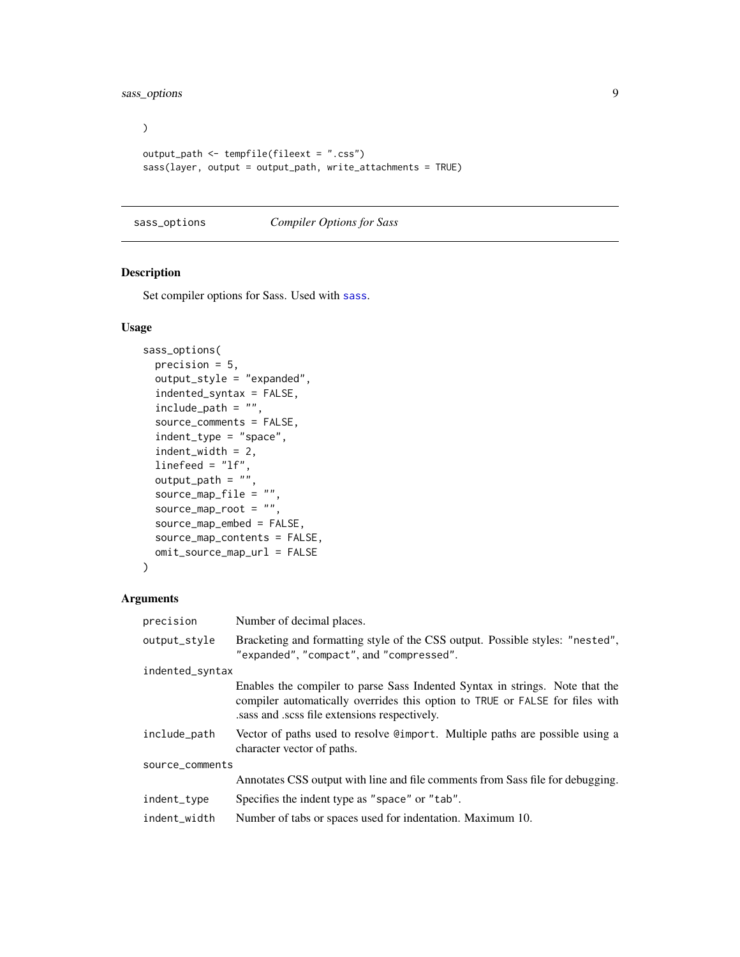<span id="page-8-0"></span>sass\_options 9

```
\overline{)}output_path <- tempfile(fileext = ".css")
sass(layer, output = output_path, write_attachments = TRUE)
```
#### <span id="page-8-1"></span>sass\_options *Compiler Options for Sass*

#### Description

Set compiler options for Sass. Used with [sass](#page-2-1).

#### Usage

```
sass_options(
 precision = 5,
 output_style = "expanded",
  indented_syntax = FALSE,
 include_path = "",
  source_comments = FALSE,
  indent_type = "space",
  indent_width = 2,
 linefeed = "lf",
 output_path = ",
 source_map_file = ",
  source_map_root = "",
  source_map_embed = FALSE,
 source_map_contents = FALSE,
 omit_source_map_url = FALSE
)
```
#### Arguments

| precision       | Number of decimal places.                                                                                                                                                                                   |  |
|-----------------|-------------------------------------------------------------------------------------------------------------------------------------------------------------------------------------------------------------|--|
| output_style    | Bracketing and formatting style of the CSS output. Possible styles: "nested",<br>"expanded", "compact", and "compressed".                                                                                   |  |
| indented_syntax |                                                                                                                                                                                                             |  |
|                 | Enables the compiler to parse Sass Indented Syntax in strings. Note that the<br>compiler automatically overrides this option to TRUE or FALSE for files with<br>sass and scss file extensions respectively. |  |
| include_path    | Vector of paths used to resolve Camport. Multiple paths are possible using a<br>character vector of paths.                                                                                                  |  |
| source_comments |                                                                                                                                                                                                             |  |
|                 | Annotates CSS output with line and file comments from Sass file for debugging.                                                                                                                              |  |
| indent_type     | Specifies the indent type as "space" or "tab".                                                                                                                                                              |  |
| indent_width    | Number of tabs or spaces used for indentation. Maximum 10.                                                                                                                                                  |  |
|                 |                                                                                                                                                                                                             |  |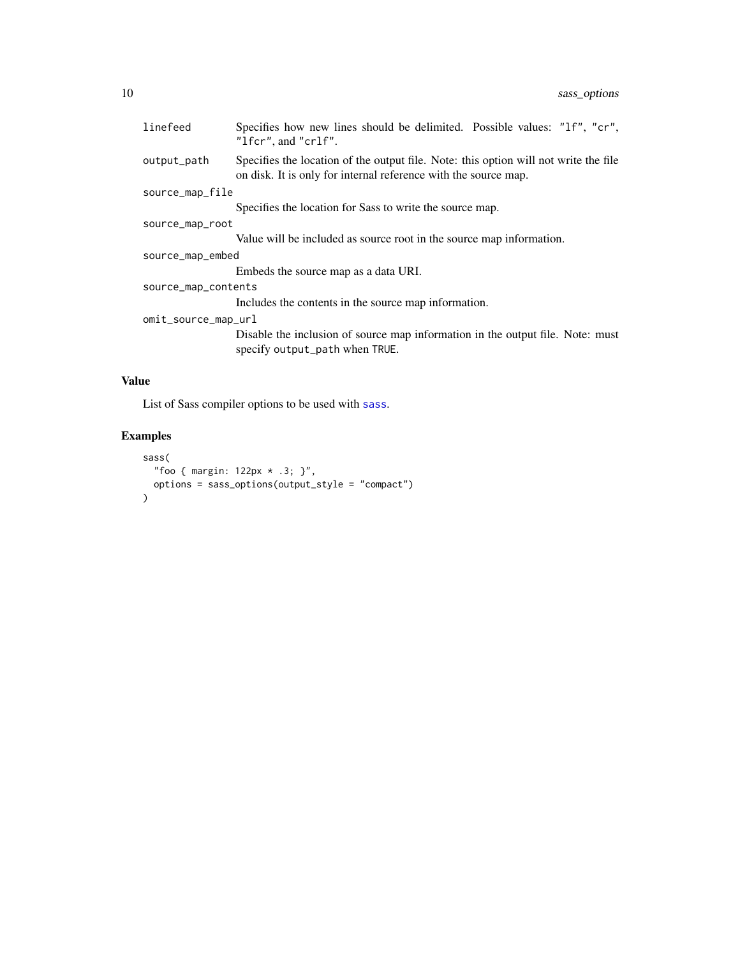<span id="page-9-0"></span>

| linefeed            | Specifies how new lines should be delimited. Possible values: "1f", "cr",<br>"lfcr", and "crlf".                                                        |
|---------------------|---------------------------------------------------------------------------------------------------------------------------------------------------------|
| output_path         | Specifies the location of the output file. Note: this option will not write the file<br>on disk. It is only for internal reference with the source map. |
| source_map_file     |                                                                                                                                                         |
|                     | Specifies the location for Sass to write the source map.                                                                                                |
| source_map_root     |                                                                                                                                                         |
|                     | Value will be included as source root in the source map information.                                                                                    |
| source_map_embed    |                                                                                                                                                         |
|                     | Embeds the source map as a data URI.                                                                                                                    |
| source_map_contents |                                                                                                                                                         |
|                     | Includes the contents in the source map information.                                                                                                    |
| omit_source_map_url |                                                                                                                                                         |
|                     | Disable the inclusion of source map information in the output file. Note: must<br>specify output_path when TRUE.                                        |

#### Value

List of Sass compiler options to be used with [sass](#page-2-1).

#### Examples

```
sass(
  "foo { margin: 122px * .3; }",
  options = sass_options(output_style = "compact")
)
```